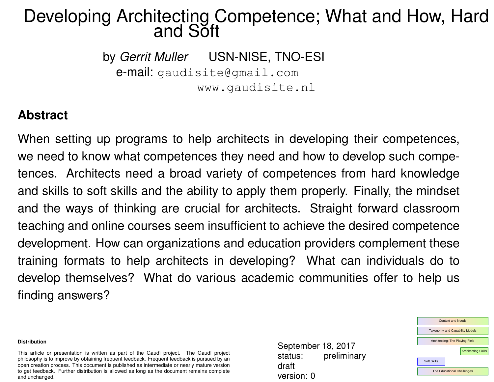### Developing Architecting Competence; What and How, Hard and Soft

by *Gerrit Muller* USN-NISE, TNO-ESI e-mail: gaudisite@gmail.com www.gaudisite.nl

#### **Abstract**

When setting up programs to help architects in developing their competences, we need to know what competences they need and how to develop such competences. Architects need a broad variety of competences from hard knowledge and skills to soft skills and the ability to apply them properly. Finally, the mindset and the ways of thinking are crucial for architects. Straight forward classroom teaching and online courses seem insufficient to achieve the desired competence development. How can organizations and education providers complement these training formats to help architects in developing? What can individuals do to develop themselves? What do various academic communities offer to help us finding answers?

#### **Distribution**

This article or presentation is written as part of the Gaudí project. The Gaudí project philosophy is to improve by obtaining frequent feedback. Frequent feedback is pursued by an open creation process. This document is published as intermediate or nearly mature version to get feedback. Further distribution is allowed as long as the document remains complete and unchanged.

September 18, 2017 status: preliminary draft version: 0

| <b>Context and Needs</b>               |  |  |
|----------------------------------------|--|--|
| <b>Taxonomy and Capability Models</b>  |  |  |
| <b>Architecting: The Playing Field</b> |  |  |
| <b>Architecting Skills</b>             |  |  |
| <b>Soft Skills</b>                     |  |  |
| <b>The Educational Challenges</b>      |  |  |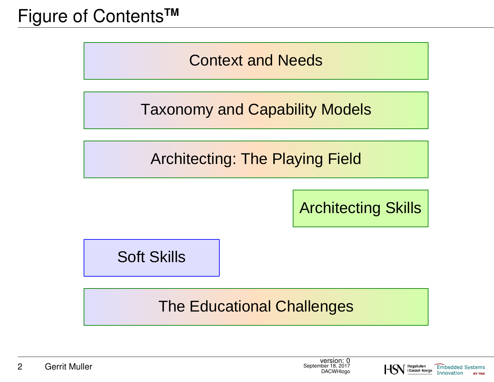# Figure of Contents**TM**

Context and Needs

Taxonomy and Capability Models

Architecting: The Playing Field

Architecting Skills

Soft Skills

The Educational Challenges

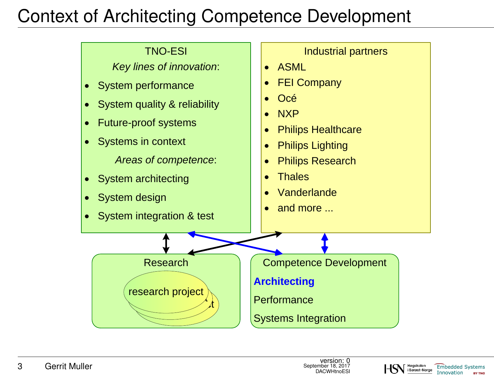# Context of Architecting Competence Development

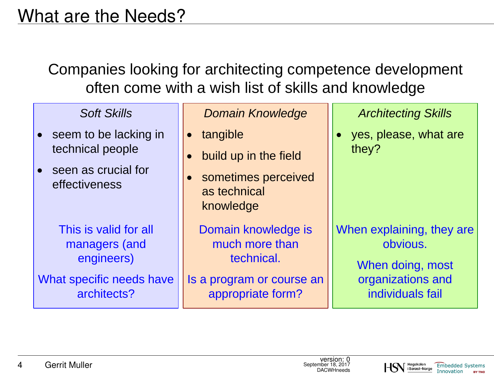Companies looking for architecting competence development often come with a wish list of skills and knowledge

| <b>Soft Skills</b>                                                                              | <b>Domain Knowledge</b>                                                                               | <b>Architecting Skills</b>                                                                         |
|-------------------------------------------------------------------------------------------------|-------------------------------------------------------------------------------------------------------|----------------------------------------------------------------------------------------------------|
| seem to be lacking in<br>technical people<br>seen as crucial for<br>effectiveness               | tangible<br>build up in the field<br>sometimes perceived<br>as technical<br>knowledge                 | yes, please, what are<br>they?                                                                     |
| This is valid for all<br>managers (and<br>engineers)<br>What specific needs have<br>architects? | Domain knowledge is<br>much more than<br>technical.<br>Is a program or course an<br>appropriate form? | When explaining, they are<br>obvious.<br>When doing, most<br>organizations and<br>individuals fail |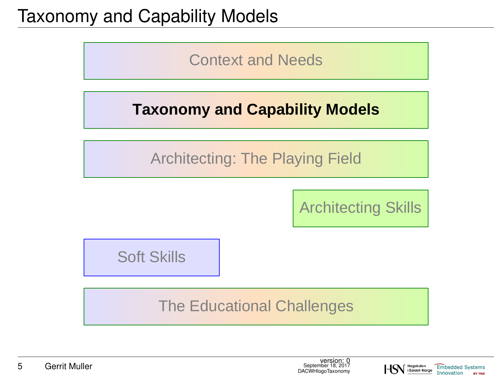# Taxonomy and Capability Models

Context and Needs

## **Taxonomy and Capability Models**

Architecting: The Playing Field

Architecting Skills

Soft Skills

The Educational Challenges



Høgskolen

i Sørøst-Norge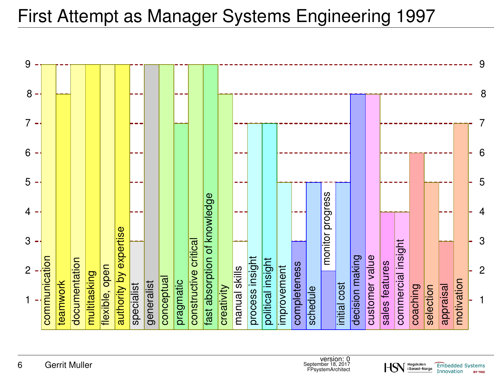

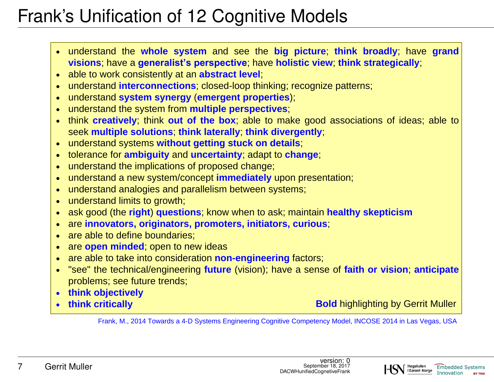# Frank's Unification of 12 Cognitive Models

- · understand the **whole system** and see the **big picture**; **think broadly**; have **grand visions**; have a **generalist's perspective**; have **holistic view**; **think strategically**;
- · able to work consistently at an **abstract level**;
- · understand **interconnections**; closed-loop thinking; recognize patterns;
- · understand **system synergy** (**emergent properties**);
- · understand the system from **multiple perspectives**;
- · think **creatively**; think **out of the box**; able to make good associations of ideas; able to seek **multiple solutions**; **think laterally**; **think divergently**;
- · understand systems **without getting stuck on details**;
- · tolerance for **ambiguity** and **uncertainty**; adapt to **change**;
- · understand the implications of proposed change;
- · understand a new system/concept **immediately** upon presentation;
- · understand analogies and parallelism between systems;
- understand limits to growth;
- · ask good (the **right**) **questions**; know when to ask; maintain **healthy skepticism**
- · are **innovators, originators, promoters, initiators, curious**;
- are able to define boundaries;
- · are **open minded**; open to new ideas
- · are able to take into consideration **non-engineering** factors;
- · "see" the technical/engineering **future** (vision); have a sense of **faith or vision**; **anticipate** problems; see future trends;
- · **think objectively**
- · **think critically**

**Bold** highlighting by Gerrit Muller

Frank, M., 2014 Towards a 4-D Systems Engineering Cognitive Competency Model, INCOSE 2014 in Las Vegas, USA

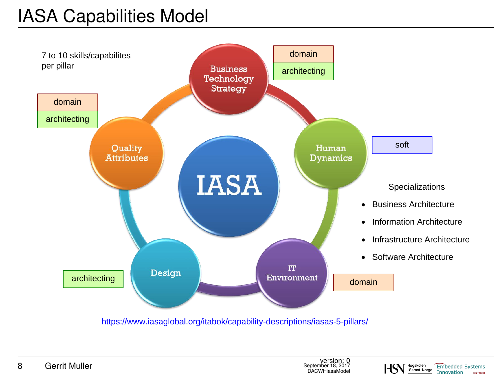# IASA Capabilities Model



https://www.iasaglobal.org/itabok/capability-descriptions/iasas-5-pillars/

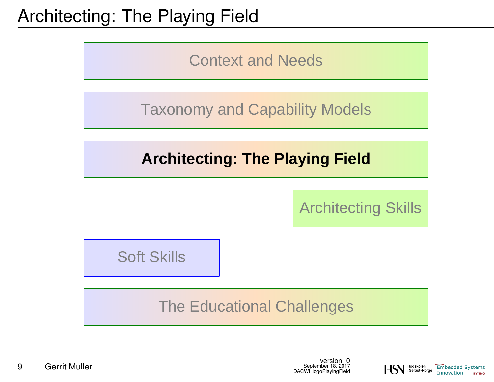# Architecting: The Playing Field

Context and Needs

Taxonomy and Capability Models

## **Architecting: The Playing Field**

Architecting Skills

Høgskolen

i Sørøst-Norge

**Embedded Systems** 

**BY TNO** 

Innovation

Soft Skills

The Educational Challenges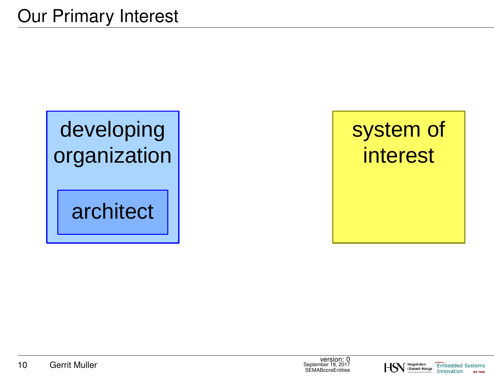# developing organization

# architect

# system of interest

**SEMABcoreEntities** 

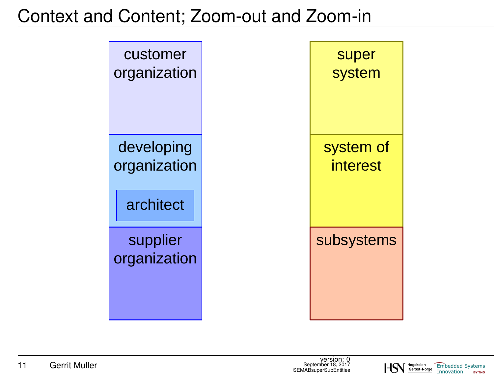# Context and Content; Zoom-out and Zoom-in



Høgskolen

i Sørøst-Norge

**Embedded Systems** 

**BY TNO** 

Innovation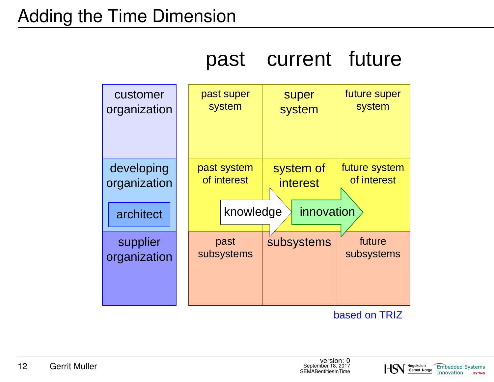# Adding the Time Dimension

|                            | past                       | current               | future                       |
|----------------------------|----------------------------|-----------------------|------------------------------|
| customer<br>organization   | past super<br>system       | super<br>system       | future super<br>system       |
| developing<br>organization | past system<br>of interest | system of<br>interest | future system<br>of interest |
| architect                  | knowledge                  | innovation            |                              |
| supplier<br>organization   | past<br>subsystems         | subsystems            | future<br>subsystems         |

based on TRIZ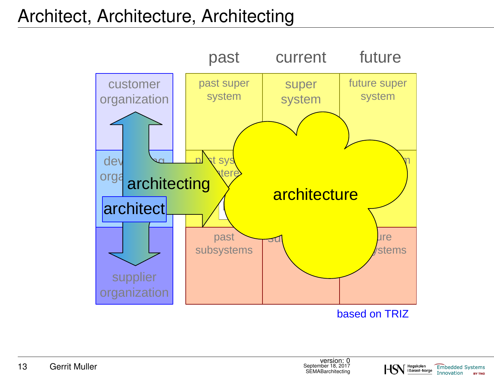# Architect, Architecture, Architecting



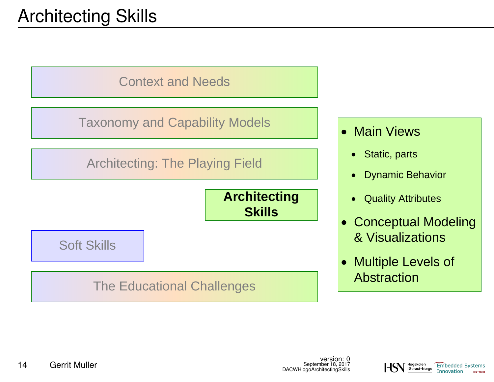# Architecting Skills



Taxonomy and Capability Models

Architecting: The Playing Field



Soft Skills

The Educational Challenges

- Main Views
	- · Static, parts
	- · Dynamic Behavior
	- · Quality Attributes
- · Conceptual Modeling & Visualizations
- **Multiple Levels of** Abstraction

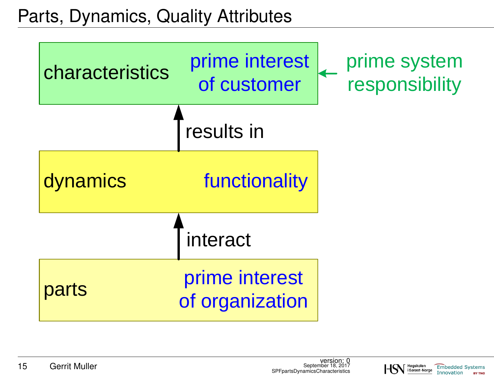Parts, Dynamics, Quality Attributes

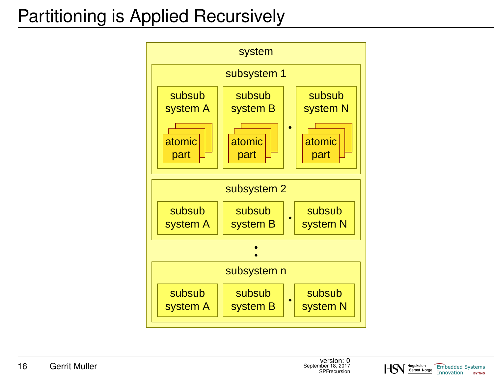# Partitioning is Applied Recursively



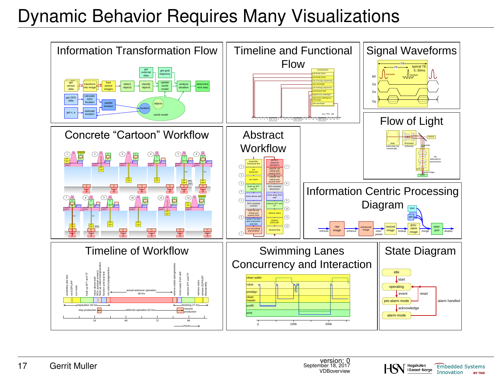# Dynamic Behavior Requires Many Visualizations



Høaskolen

i Sørøst-Norge

**Embedded Systems** 

Innovation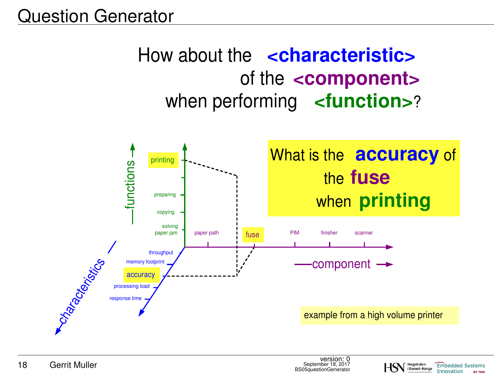# when performing <**function>**? of the **<component>**  How about the *<u>characteristic</u>*



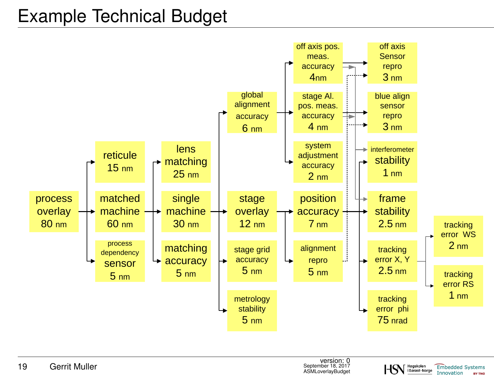# Example Technical Budget



Høgskolen

i Sørøst-Norge

**Embedded Systems** 

**BY TNO** 

Innovation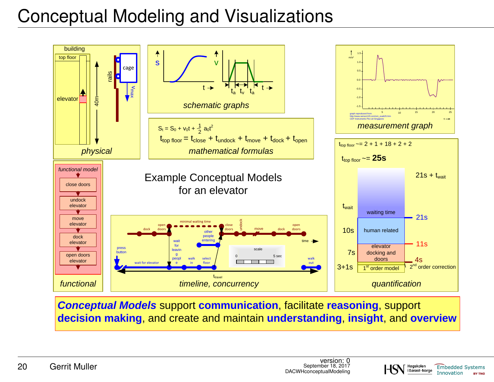# Conceptual Modeling and Visualizations



*Conceptual Models* support **communication**, facilitate **reasoning**, support **decision making**, and create and maintain **understanding**, **insight**, and **overview**

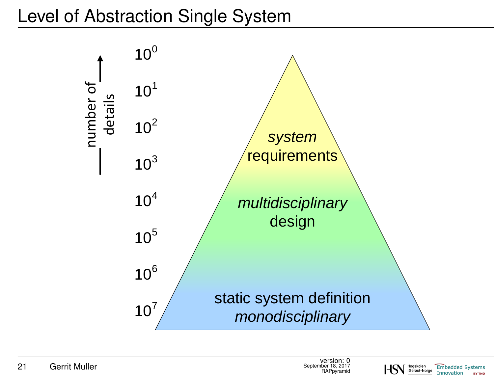# Level of Abstraction Single System





**BY TNO**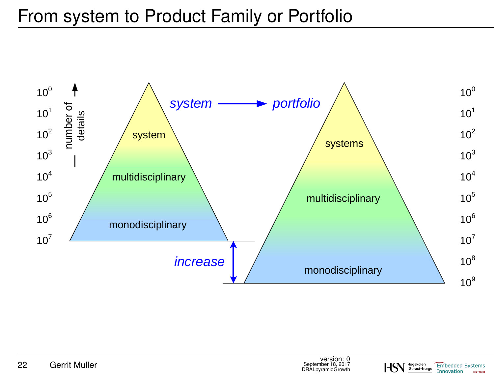# From system to Product Family or Portfolio



Høgskolen<br>i Sørøst-Norge

**Embedded Systems** Innovation

**BY TNO**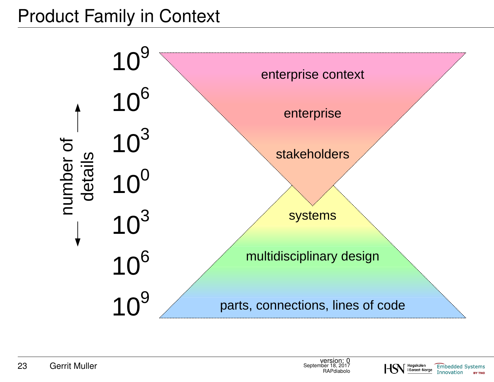# Product Family in Context



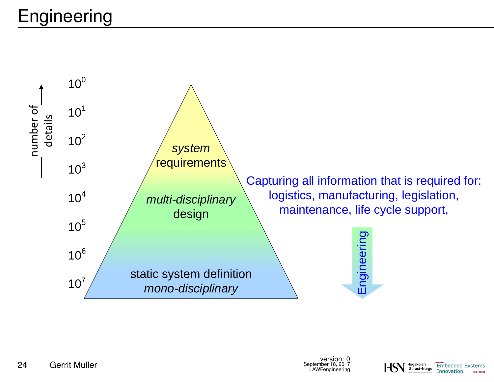# Engineering





**BY TNO**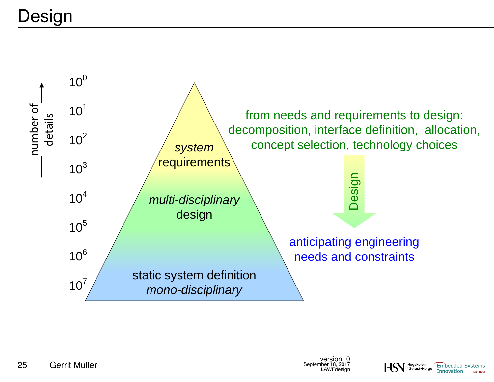

version: 0<br>September 18, 2017 **LAWF**desian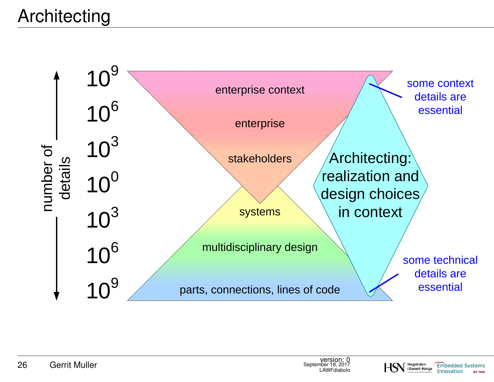# Architecting



Høgskolen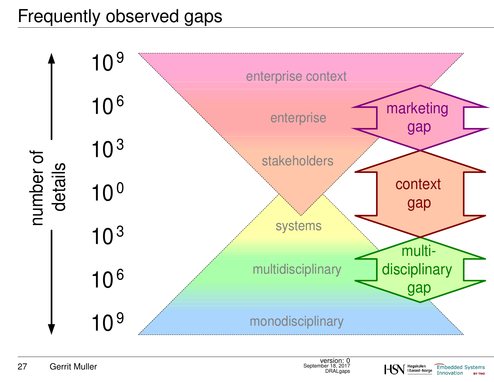# Frequently observed gaps

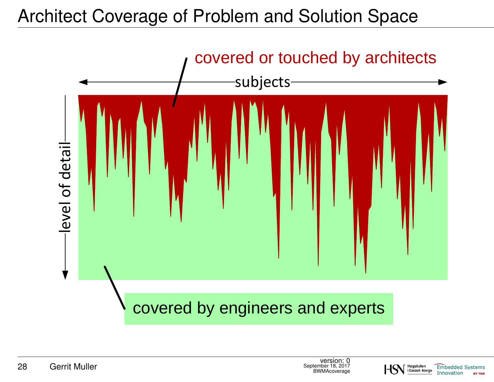# Architect Coverage of Problem and Solution Space



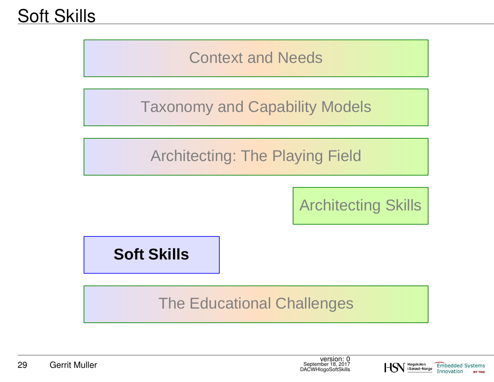Context and Needs

Taxonomy and Capability Models

Architecting: The Playing Field

Architecting Skills

**Soft Skills**

The Educational Challenges

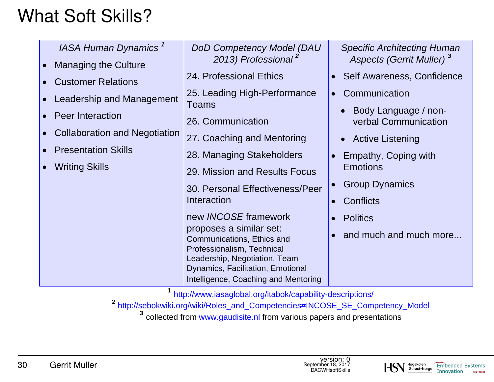# What Soft Skills?

| IASA Human Dynamics <sup>1</sup><br><b>Managing the Culture</b> | DoD Competency Model (DAU<br>2013) Professional <sup>2</sup>                        | <b>Specific Architecting Human</b><br><b>Aspects (Gerrit Muller)</b> <sup>3</sup> |
|-----------------------------------------------------------------|-------------------------------------------------------------------------------------|-----------------------------------------------------------------------------------|
| <b>Customer Relations</b>                                       | 24. Professional Ethics                                                             | Self Awareness, Confidence                                                        |
| Leadership and Management                                       | 25. Leading High-Performance<br><b>Teams</b>                                        | Communication                                                                     |
| <b>Peer Interaction</b>                                         | 26. Communication                                                                   | Body Language / non-<br>verbal Communication                                      |
| <b>Collaboration and Negotiation</b>                            | 27. Coaching and Mentoring                                                          | • Active Listening                                                                |
| <b>Presentation Skills</b>                                      | 28. Managing Stakeholders                                                           | Empathy, Coping with                                                              |
| <b>Writing Skills</b>                                           | 29. Mission and Results Focus                                                       | <b>Emotions</b>                                                                   |
|                                                                 | 30. Personal Effectiveness/Peer                                                     | <b>Group Dynamics</b>                                                             |
|                                                                 | Interaction                                                                         | Conflicts                                                                         |
|                                                                 | new <i>INCOSE</i> framework                                                         | <b>Politics</b>                                                                   |
|                                                                 | proposes a similar set:<br>Communications, Ethics and<br>Professionalism, Technical | and much and much more                                                            |
|                                                                 | Leadership, Negotiation, Team                                                       |                                                                                   |
|                                                                 | Dynamics, Facilitation, Emotional<br>Intelligence, Coaching and Mentoring           |                                                                                   |

**<sup>1</sup>** http://www.iasaglobal.org/itabok/capability-descriptions/

**<sup>2</sup>** http://sebokwiki.org/wiki/Roles\_and\_Competencies#INCOSE\_SE\_Competency\_Model

**3** collected from www.gaudisite.nl from various papers and presentations



**BY TNO**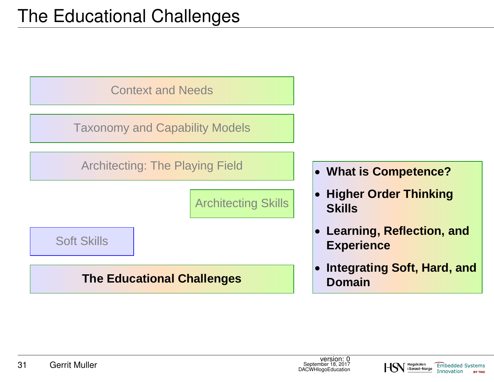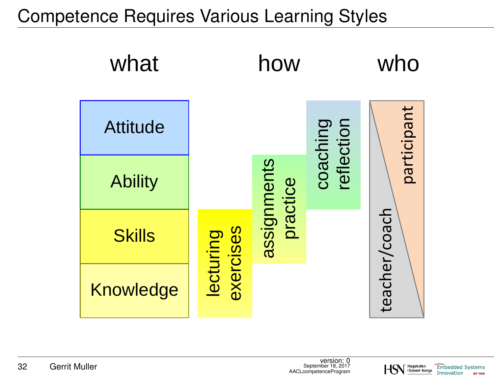Competence Requires Various Learning Styles

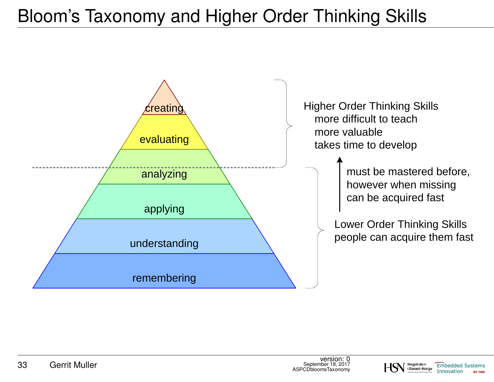# Bloom's Taxonomy and Higher Order Thinking Skills



**Embedded Systems** 

Innovation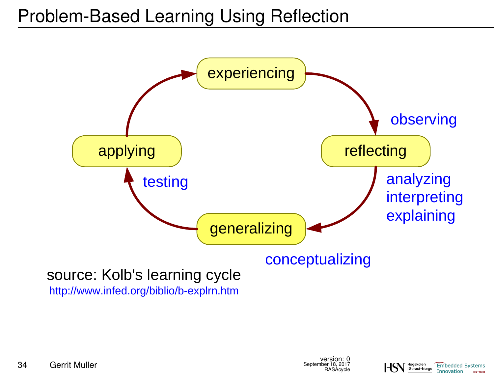

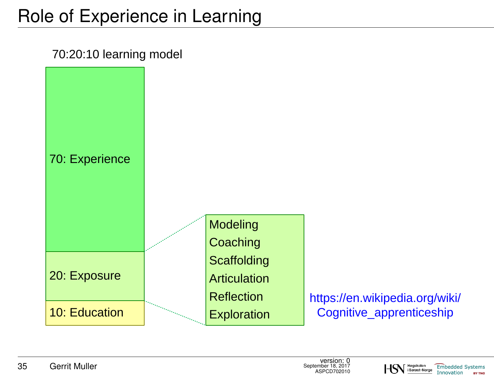# Role of Experience in Learning





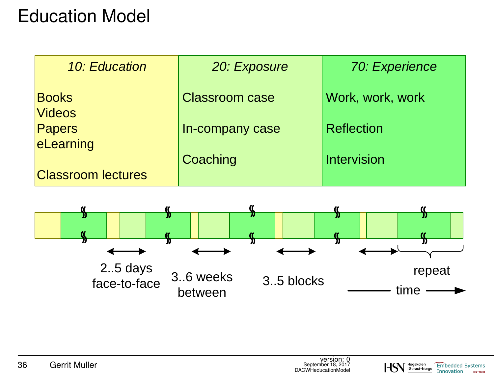# Education Model

| 10: Education                 | 20: Exposure          | 70: Experience     |
|-------------------------------|-----------------------|--------------------|
| <b>Books</b><br><b>Videos</b> | <b>Classroom case</b> | Work, work, work   |
| Papers<br>eLearning           | In-company case       | <b>Reflection</b>  |
| <b>Classroom lectures</b>     | Coaching              | <b>Intervision</b> |



Høgskolen<br>i Sørøst-Norge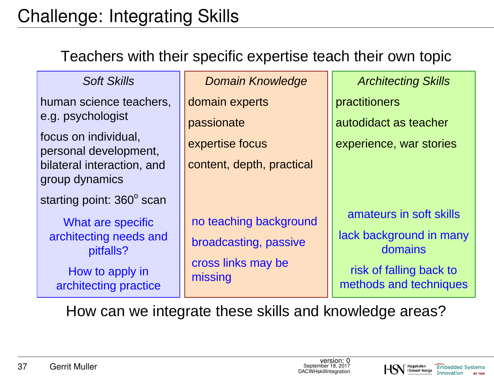# Challenge: Integrating Skills

#### Teachers with their specific expertise teach their own topic

| <b>Soft Skills</b>                            | <b>Domain Knowledge</b>       | <b>Architecting Skills</b>                        |
|-----------------------------------------------|-------------------------------|---------------------------------------------------|
| human science teachers,                       | domain experts                | practitioners                                     |
| e.g. psychologist                             | passionate                    | autodidact as teacher                             |
| focus on individual,<br>personal development, | expertise focus               | experience, war stories                           |
| bilateral interaction, and<br>group dynamics  | content, depth, practical     |                                                   |
| starting point: 360° scan                     |                               |                                                   |
| What are specific                             | no teaching background        | amateurs in soft skills                           |
| architecting needs and<br>pitfalls?           | broadcasting, passive         | lack background in many<br>domains                |
| How to apply in<br>architecting practice      | cross links may be<br>missing | risk of falling back to<br>methods and techniques |

How can we integrate these skills and knowledge areas?